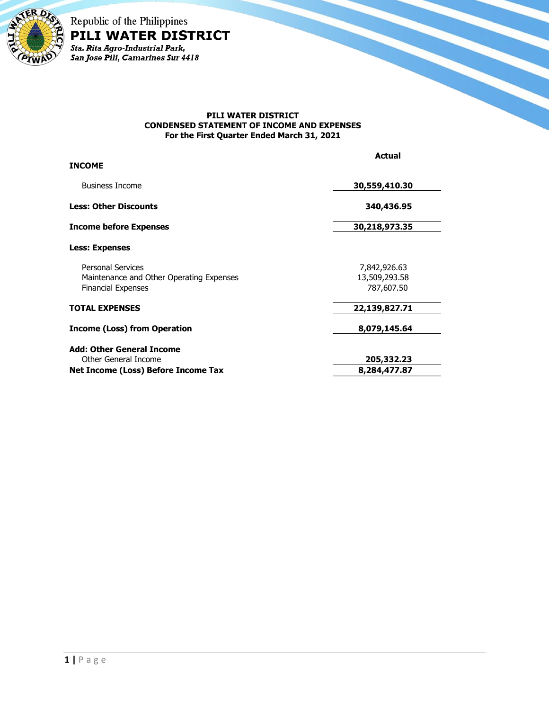

Republic of the Philippines PILI WATER DISTRICT Sta. Rita Agro-Industrial Park,<br>San Jose Pili, Camarines Sur 4418

#### **PILI WATER DISTRICT CONDENSED STATEMENT OF INCOME AND EXPENSES For the First Quarter Ended March 31, 2021**

|                                                                                                   | <b>Actual</b>                               |
|---------------------------------------------------------------------------------------------------|---------------------------------------------|
| <b>INCOME</b>                                                                                     |                                             |
| <b>Business Income</b>                                                                            | 30,559,410.30                               |
| <b>Less: Other Discounts</b>                                                                      | 340,436.95                                  |
| <b>Income before Expenses</b>                                                                     | 30,218,973.35                               |
| <b>Less: Expenses</b>                                                                             |                                             |
| <b>Personal Services</b><br>Maintenance and Other Operating Expenses<br><b>Financial Expenses</b> | 7,842,926.63<br>13,509,293.58<br>787,607.50 |
| <b>TOTAL EXPENSES</b>                                                                             | 22,139,827.71                               |
| <b>Income (Loss) from Operation</b>                                                               | 8,079,145.64                                |
| <b>Add: Other General Income</b>                                                                  |                                             |
| Other General Income                                                                              | 205,332.23                                  |
| Net Income (Loss) Before Income Tax                                                               | 8,284,477.87                                |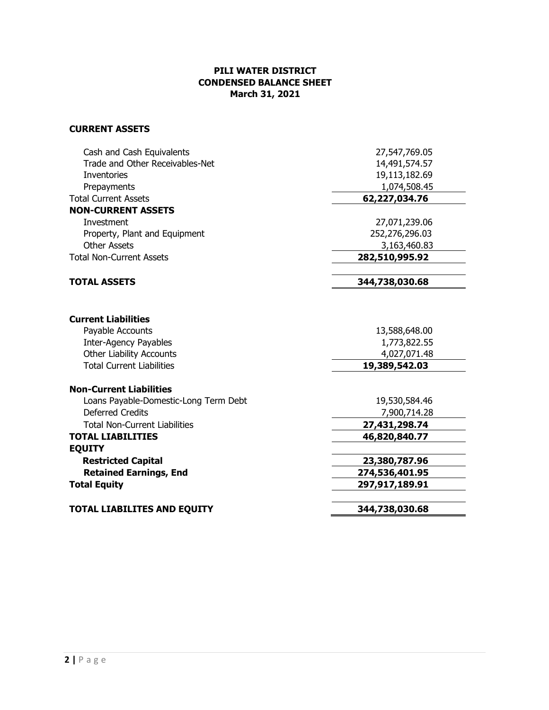# **PILI WATER DISTRICT CONDENSED BALANCE SHEET March 31, 2021**

# **CURRENT ASSETS**

| Cash and Cash Equivalents             | 27,547,769.05  |
|---------------------------------------|----------------|
| Trade and Other Receivables-Net       | 14,491,574.57  |
| Inventories                           | 19,113,182.69  |
| Prepayments                           | 1,074,508.45   |
| <b>Total Current Assets</b>           | 62,227,034.76  |
| <b>NON-CURRENT ASSETS</b>             |                |
| Investment                            | 27,071,239.06  |
| Property, Plant and Equipment         | 252,276,296.03 |
| <b>Other Assets</b>                   | 3,163,460.83   |
| <b>Total Non-Current Assets</b>       | 282,510,995.92 |
| <b>TOTAL ASSETS</b>                   | 344,738,030.68 |
|                                       |                |
| <b>Current Liabilities</b>            |                |
| Payable Accounts                      | 13,588,648.00  |
| <b>Inter-Agency Payables</b>          | 1,773,822.55   |
| <b>Other Liability Accounts</b>       | 4,027,071.48   |
| <b>Total Current Liabilities</b>      | 19,389,542.03  |
| <b>Non-Current Liabilities</b>        |                |
| Loans Payable-Domestic-Long Term Debt | 19,530,584.46  |
| <b>Deferred Credits</b>               | 7,900,714.28   |
| <b>Total Non-Current Liabilities</b>  | 27,431,298.74  |
| <b>TOTAL LIABILITIES</b>              | 46,820,840.77  |
| <b>EQUITY</b>                         |                |
| <b>Restricted Capital</b>             | 23,380,787.96  |
| <b>Retained Earnings, End</b>         | 274,536,401.95 |
| <b>Total Equity</b>                   | 297,917,189.91 |
| <b>TOTAL LIABILITES AND EQUITY</b>    | 344,738,030.68 |